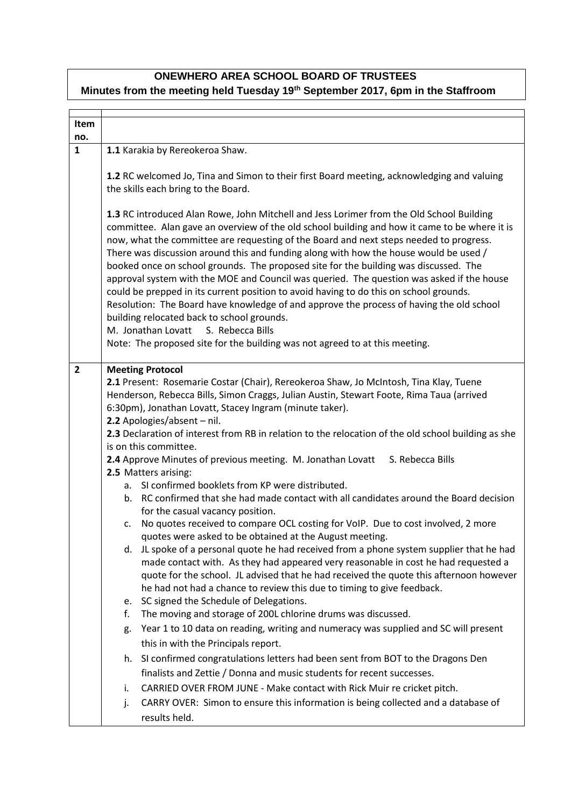## **ONEWHERO AREA SCHOOL BOARD OF TRUSTEES Minutes from the meeting held Tuesday 19th September 2017, 6pm in the Staffroom**

| <b>Item</b><br>no. |                                                                                                                                                                                                                                                                                                                                                                                                                                                                                                                                                                                                                                                                                                                                                                                                                                                                                                                                                                                                                                                                                                                                                                                                                                                                                                                                                                                                                                                                                                                                                                                                                                                                                                                                                                                                                                                                       |
|--------------------|-----------------------------------------------------------------------------------------------------------------------------------------------------------------------------------------------------------------------------------------------------------------------------------------------------------------------------------------------------------------------------------------------------------------------------------------------------------------------------------------------------------------------------------------------------------------------------------------------------------------------------------------------------------------------------------------------------------------------------------------------------------------------------------------------------------------------------------------------------------------------------------------------------------------------------------------------------------------------------------------------------------------------------------------------------------------------------------------------------------------------------------------------------------------------------------------------------------------------------------------------------------------------------------------------------------------------------------------------------------------------------------------------------------------------------------------------------------------------------------------------------------------------------------------------------------------------------------------------------------------------------------------------------------------------------------------------------------------------------------------------------------------------------------------------------------------------------------------------------------------------|
| $\mathbf{1}$       | 1.1 Karakia by Rereokeroa Shaw.                                                                                                                                                                                                                                                                                                                                                                                                                                                                                                                                                                                                                                                                                                                                                                                                                                                                                                                                                                                                                                                                                                                                                                                                                                                                                                                                                                                                                                                                                                                                                                                                                                                                                                                                                                                                                                       |
|                    | 1.2 RC welcomed Jo, Tina and Simon to their first Board meeting, acknowledging and valuing<br>the skills each bring to the Board.                                                                                                                                                                                                                                                                                                                                                                                                                                                                                                                                                                                                                                                                                                                                                                                                                                                                                                                                                                                                                                                                                                                                                                                                                                                                                                                                                                                                                                                                                                                                                                                                                                                                                                                                     |
|                    | 1.3 RC introduced Alan Rowe, John Mitchell and Jess Lorimer from the Old School Building<br>committee. Alan gave an overview of the old school building and how it came to be where it is<br>now, what the committee are requesting of the Board and next steps needed to progress.<br>There was discussion around this and funding along with how the house would be used /<br>booked once on school grounds. The proposed site for the building was discussed. The<br>approval system with the MOE and Council was queried. The question was asked if the house<br>could be prepped in its current position to avoid having to do this on school grounds.<br>Resolution: The Board have knowledge of and approve the process of having the old school<br>building relocated back to school grounds.<br>M. Jonathan Lovatt<br>S. Rebecca Bills<br>Note: The proposed site for the building was not agreed to at this meeting.                                                                                                                                                                                                                                                                                                                                                                                                                                                                                                                                                                                                                                                                                                                                                                                                                                                                                                                                        |
|                    |                                                                                                                                                                                                                                                                                                                                                                                                                                                                                                                                                                                                                                                                                                                                                                                                                                                                                                                                                                                                                                                                                                                                                                                                                                                                                                                                                                                                                                                                                                                                                                                                                                                                                                                                                                                                                                                                       |
| $\overline{2}$     | <b>Meeting Protocol</b><br>2.1 Present: Rosemarie Costar (Chair), Rereokeroa Shaw, Jo McIntosh, Tina Klay, Tuene<br>Henderson, Rebecca Bills, Simon Craggs, Julian Austin, Stewart Foote, Rima Taua (arrived<br>6:30pm), Jonathan Lovatt, Stacey Ingram (minute taker).<br>2.2 Apologies/absent - nil.<br>2.3 Declaration of interest from RB in relation to the relocation of the old school building as she<br>is on this committee.<br>2.4 Approve Minutes of previous meeting. M. Jonathan Lovatt<br>S. Rebecca Bills<br>2.5 Matters arising:<br>a. SI confirmed booklets from KP were distributed.<br>b. RC confirmed that she had made contact with all candidates around the Board decision<br>for the casual vacancy position.<br>c. No quotes received to compare OCL costing for VoIP. Due to cost involved, 2 more<br>quotes were asked to be obtained at the August meeting.<br>d. JL spoke of a personal quote he had received from a phone system supplier that he had<br>made contact with. As they had appeared very reasonable in cost he had requested a<br>quote for the school. JL advised that he had received the quote this afternoon however<br>he had not had a chance to review this due to timing to give feedback.<br>SC signed the Schedule of Delegations.<br>e.<br>The moving and storage of 200L chlorine drums was discussed.<br>f.<br>Year 1 to 10 data on reading, writing and numeracy was supplied and SC will present<br>g.<br>this in with the Principals report.<br>SI confirmed congratulations letters had been sent from BOT to the Dragons Den<br>h.<br>finalists and Zettie / Donna and music students for recent successes.<br>CARRIED OVER FROM JUNE - Make contact with Rick Muir re cricket pitch.<br>i.<br>CARRY OVER: Simon to ensure this information is being collected and a database of<br>j.<br>results held. |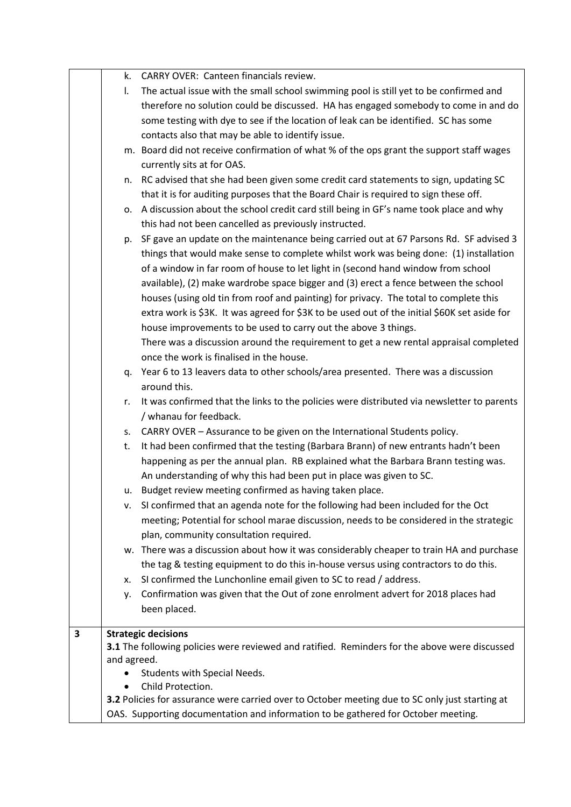|   | k.          | <b>CARRY OVER: Canteen financials review.</b>                                                   |
|---|-------------|-------------------------------------------------------------------------------------------------|
|   | I.          | The actual issue with the small school swimming pool is still yet to be confirmed and           |
|   |             | therefore no solution could be discussed. HA has engaged somebody to come in and do             |
|   |             | some testing with dye to see if the location of leak can be identified. SC has some             |
|   |             | contacts also that may be able to identify issue.                                               |
|   |             | m. Board did not receive confirmation of what % of the ops grant the support staff wages        |
|   |             | currently sits at for OAS.                                                                      |
|   |             | n. RC advised that she had been given some credit card statements to sign, updating SC          |
|   |             | that it is for auditing purposes that the Board Chair is required to sign these off.            |
|   |             | o. A discussion about the school credit card still being in GF's name took place and why        |
|   |             | this had not been cancelled as previously instructed.                                           |
|   |             | p. SF gave an update on the maintenance being carried out at 67 Parsons Rd. SF advised 3        |
|   |             | things that would make sense to complete whilst work was being done: (1) installation           |
|   |             | of a window in far room of house to let light in (second hand window from school                |
|   |             | available), (2) make wardrobe space bigger and (3) erect a fence between the school             |
|   |             | houses (using old tin from roof and painting) for privacy. The total to complete this           |
|   |             | extra work is \$3K. It was agreed for \$3K to be used out of the initial \$60K set aside for    |
|   |             | house improvements to be used to carry out the above 3 things.                                  |
|   |             | There was a discussion around the requirement to get a new rental appraisal completed           |
|   |             | once the work is finalised in the house.                                                        |
|   |             | q. Year 6 to 13 leavers data to other schools/area presented. There was a discussion            |
|   |             | around this.                                                                                    |
|   | r.          | It was confirmed that the links to the policies were distributed via newsletter to parents      |
|   |             | / whanau for feedback.                                                                          |
|   |             | s. CARRY OVER - Assurance to be given on the International Students policy.                     |
|   | t.          | It had been confirmed that the testing (Barbara Brann) of new entrants hadn't been              |
|   |             | happening as per the annual plan. RB explained what the Barbara Brann testing was.              |
|   |             | An understanding of why this had been put in place was given to SC.                             |
|   | u.          | Budget review meeting confirmed as having taken place.                                          |
|   | v.          | SI confirmed that an agenda note for the following had been included for the Oct                |
|   |             | meeting; Potential for school marae discussion, needs to be considered in the strategic         |
|   |             | plan, community consultation required.                                                          |
|   |             | w. There was a discussion about how it was considerably cheaper to train HA and purchase        |
|   |             | the tag & testing equipment to do this in-house versus using contractors to do this.            |
|   | х.          | SI confirmed the Lunchonline email given to SC to read / address.                               |
|   | ۷.          | Confirmation was given that the Out of zone enrolment advert for 2018 places had                |
|   |             | been placed.                                                                                    |
| 3 |             | <b>Strategic decisions</b>                                                                      |
|   |             | 3.1 The following policies were reviewed and ratified. Reminders for the above were discussed   |
|   | and agreed. |                                                                                                 |
|   |             | Students with Special Needs.                                                                    |
|   |             | Child Protection.                                                                               |
|   |             | 3.2 Policies for assurance were carried over to October meeting due to SC only just starting at |
|   |             | OAS. Supporting documentation and information to be gathered for October meeting.               |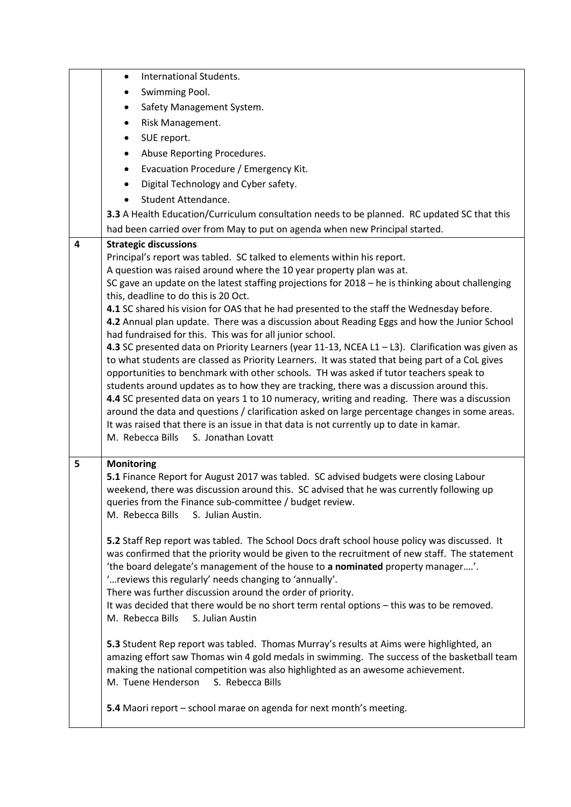|   | International Students.<br>$\bullet$                                                                                                                                                      |
|---|-------------------------------------------------------------------------------------------------------------------------------------------------------------------------------------------|
|   | Swimming Pool.<br>$\bullet$                                                                                                                                                               |
|   | Safety Management System.<br>$\bullet$                                                                                                                                                    |
|   | Risk Management.<br>$\bullet$                                                                                                                                                             |
|   | SUE report.<br>$\bullet$                                                                                                                                                                  |
|   | Abuse Reporting Procedures.<br>$\bullet$                                                                                                                                                  |
|   | Evacuation Procedure / Emergency Kit.<br>$\bullet$                                                                                                                                        |
|   | Digital Technology and Cyber safety.<br>$\bullet$                                                                                                                                         |
|   | Student Attendance.                                                                                                                                                                       |
|   | 3.3 A Health Education/Curriculum consultation needs to be planned. RC updated SC that this                                                                                               |
|   | had been carried over from May to put on agenda when new Principal started.                                                                                                               |
| 4 | <b>Strategic discussions</b>                                                                                                                                                              |
|   | Principal's report was tabled. SC talked to elements within his report.                                                                                                                   |
|   | A question was raised around where the 10 year property plan was at.                                                                                                                      |
|   | SC gave an update on the latest staffing projections for $2018 -$ he is thinking about challenging<br>this, deadline to do this is 20 Oct.                                                |
|   | 4.1 SC shared his vision for OAS that he had presented to the staff the Wednesday before.                                                                                                 |
|   | 4.2 Annual plan update. There was a discussion about Reading Eggs and how the Junior School                                                                                               |
|   | had fundraised for this. This was for all junior school.                                                                                                                                  |
|   | 4.3 SC presented data on Priority Learners (year 11-13, NCEA L1 - L3). Clarification was given as                                                                                         |
|   | to what students are classed as Priority Learners. It was stated that being part of a CoL gives<br>opportunities to benchmark with other schools. TH was asked if tutor teachers speak to |
|   | students around updates as to how they are tracking, there was a discussion around this.                                                                                                  |
|   | 4.4 SC presented data on years 1 to 10 numeracy, writing and reading. There was a discussion                                                                                              |
|   | around the data and questions / clarification asked on large percentage changes in some areas.                                                                                            |
|   | It was raised that there is an issue in that data is not currently up to date in kamar.                                                                                                   |
|   | M. Rebecca Bills<br>S. Jonathan Lovatt                                                                                                                                                    |
| 5 | <b>Monitoring</b>                                                                                                                                                                         |
|   | 5.1 Finance Report for August 2017 was tabled. SC advised budgets were closing Labour                                                                                                     |
|   | weekend, there was discussion around this. SC advised that he was currently following up                                                                                                  |
|   | queries from the Finance sub-committee / budget review.                                                                                                                                   |
|   | M. Rebecca Bills<br>S. Julian Austin.                                                                                                                                                     |
|   | 5.2 Staff Rep report was tabled. The School Docs draft school house policy was discussed. It                                                                                              |
|   | was confirmed that the priority would be given to the recruitment of new staff. The statement                                                                                             |
|   | 'the board delegate's management of the house to a nominated property manager'.                                                                                                           |
|   | " reviews this regularly' needs changing to 'annually'.                                                                                                                                   |
|   | There was further discussion around the order of priority.                                                                                                                                |
|   | It was decided that there would be no short term rental options - this was to be removed.<br>M. Rebecca Bills<br>S. Julian Austin                                                         |
|   |                                                                                                                                                                                           |
|   | 5.3 Student Rep report was tabled. Thomas Murray's results at Aims were highlighted, an                                                                                                   |
|   | amazing effort saw Thomas win 4 gold medals in swimming. The success of the basketball team                                                                                               |
|   | making the national competition was also highlighted as an awesome achievement.                                                                                                           |
|   | M. Tuene Henderson<br>S. Rebecca Bills                                                                                                                                                    |
|   | 5.4 Maori report - school marae on agenda for next month's meeting.                                                                                                                       |
|   |                                                                                                                                                                                           |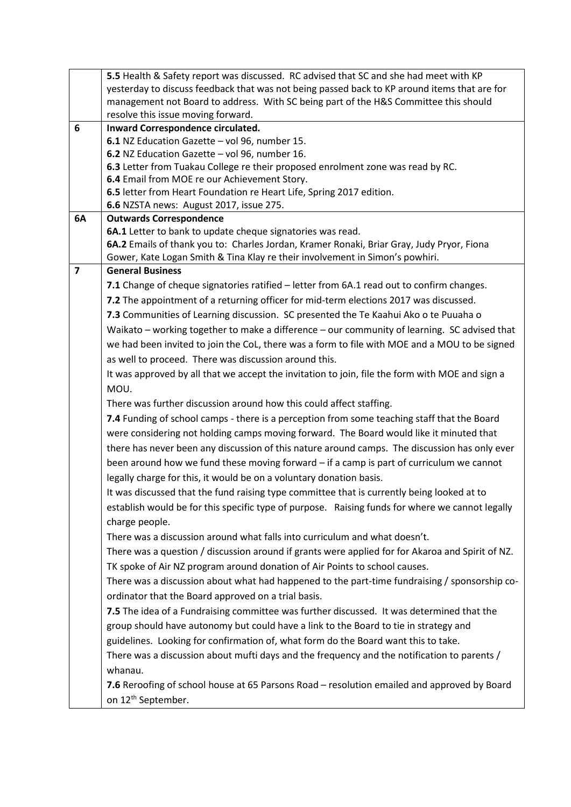|                         | 5.5 Health & Safety report was discussed. RC advised that SC and she had meet with KP                           |
|-------------------------|-----------------------------------------------------------------------------------------------------------------|
|                         | yesterday to discuss feedback that was not being passed back to KP around items that are for                    |
|                         | management not Board to address. With SC being part of the H&S Committee this should                            |
|                         | resolve this issue moving forward.                                                                              |
| 6                       | Inward Correspondence circulated.                                                                               |
|                         | 6.1 NZ Education Gazette - vol 96, number 15.                                                                   |
|                         | 6.2 NZ Education Gazette - vol 96, number 16.                                                                   |
|                         | 6.3 Letter from Tuakau College re their proposed enrolment zone was read by RC.                                 |
|                         | 6.4 Email from MOE re our Achievement Story.                                                                    |
|                         | 6.5 letter from Heart Foundation re Heart Life, Spring 2017 edition.<br>6.6 NZSTA news: August 2017, issue 275. |
| 6A                      | <b>Outwards Correspondence</b>                                                                                  |
|                         | 6A.1 Letter to bank to update cheque signatories was read.                                                      |
|                         | 6A.2 Emails of thank you to: Charles Jordan, Kramer Ronaki, Briar Gray, Judy Pryor, Fiona                       |
|                         | Gower, Kate Logan Smith & Tina Klay re their involvement in Simon's powhiri.                                    |
| $\overline{\mathbf{z}}$ | <b>General Business</b>                                                                                         |
|                         | 7.1 Change of cheque signatories ratified – letter from 6A.1 read out to confirm changes.                       |
|                         | 7.2 The appointment of a returning officer for mid-term elections 2017 was discussed.                           |
|                         | 7.3 Communities of Learning discussion. SC presented the Te Kaahui Ako o te Puuaha o                            |
|                         | Waikato - working together to make a difference - our community of learning. SC advised that                    |
|                         |                                                                                                                 |
|                         | we had been invited to join the CoL, there was a form to file with MOE and a MOU to be signed                   |
|                         | as well to proceed. There was discussion around this.                                                           |
|                         | It was approved by all that we accept the invitation to join, file the form with MOE and sign a                 |
|                         | MOU.                                                                                                            |
|                         | There was further discussion around how this could affect staffing.                                             |
|                         | 7.4 Funding of school camps - there is a perception from some teaching staff that the Board                     |
|                         | were considering not holding camps moving forward. The Board would like it minuted that                         |
|                         | there has never been any discussion of this nature around camps. The discussion has only ever                   |
|                         | been around how we fund these moving forward - if a camp is part of curriculum we cannot                        |
|                         | legally charge for this, it would be on a voluntary donation basis.                                             |
|                         | It was discussed that the fund raising type committee that is currently being looked at to                      |
|                         | establish would be for this specific type of purpose. Raising funds for where we cannot legally                 |
|                         | charge people.                                                                                                  |
|                         | There was a discussion around what falls into curriculum and what doesn't.                                      |
|                         | There was a question / discussion around if grants were applied for for Akaroa and Spirit of NZ.                |
|                         | TK spoke of Air NZ program around donation of Air Points to school causes.                                      |
|                         | There was a discussion about what had happened to the part-time fundraising / sponsorship co-                   |
|                         | ordinator that the Board approved on a trial basis.                                                             |
|                         |                                                                                                                 |
|                         | 7.5 The idea of a Fundraising committee was further discussed. It was determined that the                       |
|                         | group should have autonomy but could have a link to the Board to tie in strategy and                            |
|                         | guidelines. Looking for confirmation of, what form do the Board want this to take.                              |
|                         | There was a discussion about mufti days and the frequency and the notification to parents /                     |
|                         | whanau.                                                                                                         |
|                         | 7.6 Reroofing of school house at 65 Parsons Road - resolution emailed and approved by Board                     |
|                         | on 12 <sup>th</sup> September.                                                                                  |